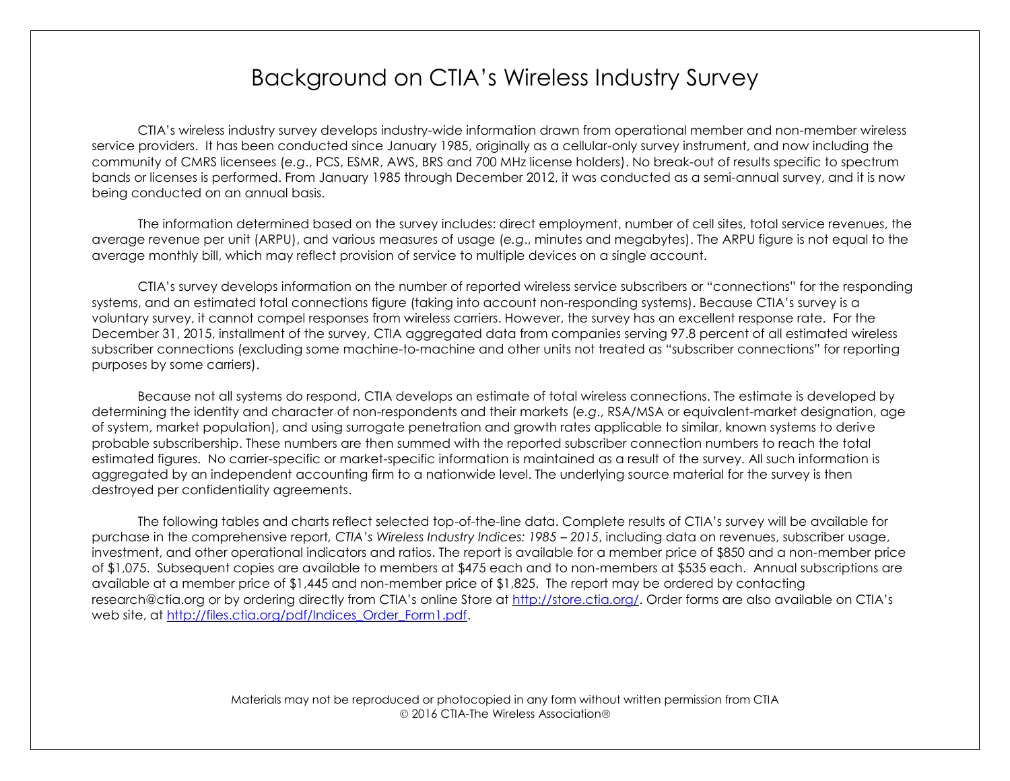# Background on CTIA's Wireless Industry Survey

CTIA's wireless industry survey develops industry-wide information drawn from operational member and non-member wireless service providers. It has been conducted since January 1985, originally as a cellular-only survey instrument, and now including the community of CMRS licensees (*e.g*., PCS, ESMR, AWS, BRS and 700 MHz license holders). No break-out of results specific to spectrum bands or licenses is performed. From January 1985 through December 2012, it was conducted as a semi-annual survey, and it is now being conducted on an annual basis.

The information determined based on the survey includes: direct employment, number of cell sites, total service revenues, the average revenue per unit (ARPU), and various measures of usage (*e.g*., minutes and megabytes). The ARPU figure is not equal to the average monthly bill, which may reflect provision of service to multiple devices on a single account.

CTIA's survey develops information on the number of reported wireless service subscribers or "connections" for the responding systems, and an estimated total connections figure (taking into account non-responding systems). Because CTIA's survey is a voluntary survey, it cannot compel responses from wireless carriers. However, the survey has an excellent response rate. For the December 31, 2015, installment of the survey, CTIA aggregated data from companies serving 97.8 percent of all estimated wireless subscriber connections (excluding some machine-to-machine and other units not treated as "subscriber connections" for reporting purposes by some carriers).

Because not all systems do respond, CTIA develops an estimate of total wireless connections. The estimate is developed by determining the identity and character of non-respondents and their markets (*e.g*., RSA/MSA or equivalent-market designation, age of system, market population), and using surrogate penetration and growth rates applicable to similar, known systems to derive probable subscribership. These numbers are then summed with the reported subscriber connection numbers to reach the total estimated figures. No carrier-specific or market-specific information is maintained as a result of the survey. All such information is aggregated by an independent accounting firm to a nationwide level. The underlying source material for the survey is then destroyed per confidentiality agreements.

The following tables and charts reflect selected top-of-the-line data. Complete results of CTIA's survey will be available for purchase in the comprehensive report*, CTIA's Wireless Industry Indices: 1985 – 2015*, including data on revenues, subscriber usage, investment, and other operational indicators and ratios. The report is available for a member price of \$850 and a non-member price of \$1,075. Subsequent copies are available to members at \$475 each and to non-members at \$535 each. Annual subscriptions are available at a member price of \$1,445 and non-member price of \$1,825. The report may be ordered by contacting [research@ctia.org](mailto:research@ctia.org) or by ordering directly from CTIA's online Store at [http://store.ctia.org/.](http://store.ctia.org/) Order forms are also available on CTIA's web site, at [http://files.ctia.org/pdf/Indices\\_Order\\_Form1.pdf.](http://files.ctia.org/pdf/Indices_Order_Form1.pdf)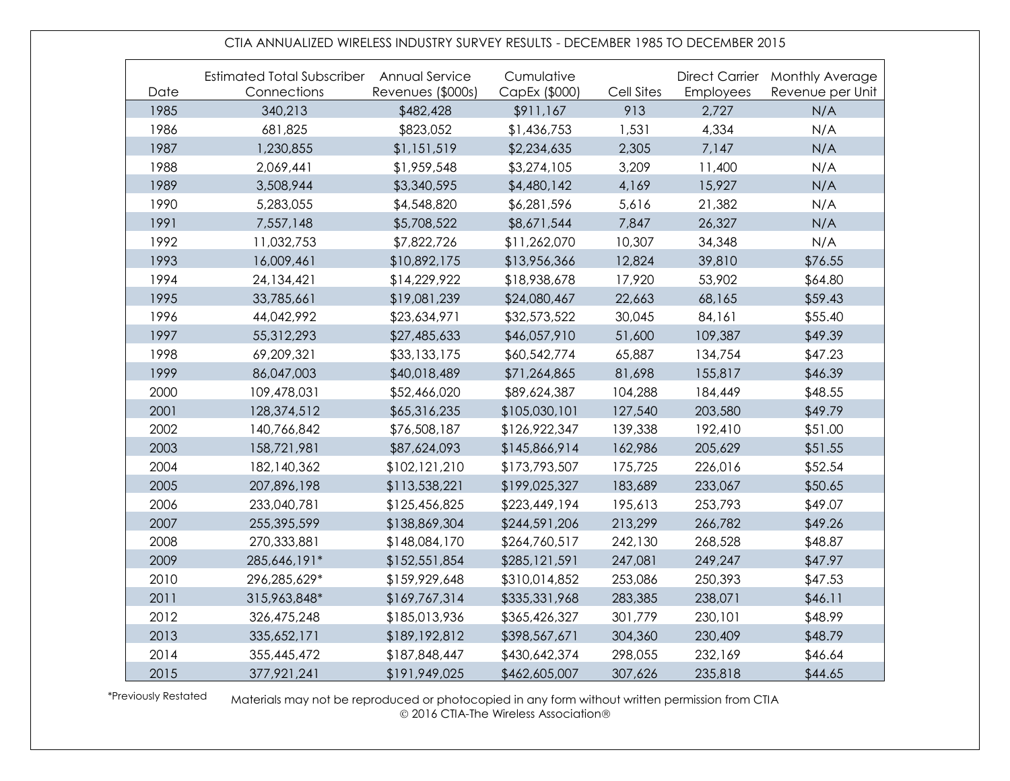#### CTIA ANNUALIZED WIRELESS INDUSTRY SURVEY RESULTS - DECEMBER 1985 TO DECEMBER 2015

| Date | Estimated Total Subscriber Annual Service<br>Connections | Revenues (\$000s) | Cumulative<br>CapEx (\$000) | Cell Sites | Employees | Direct Carrier Monthly Average<br>Revenue per Unit |
|------|----------------------------------------------------------|-------------------|-----------------------------|------------|-----------|----------------------------------------------------|
| 1985 | 340,213                                                  | \$482,428         | \$911,167                   | 913        | 2,727     | N/A                                                |
| 1986 | 681,825                                                  | \$823,052         | \$1,436,753                 | 1,531      | 4,334     | N/A                                                |
| 1987 | 1,230,855                                                | \$1,151,519       | \$2,234,635                 | 2,305      | 7,147     | N/A                                                |
| 1988 | 2,069,441                                                | \$1,959,548       | \$3,274,105                 | 3,209      | 11,400    | N/A                                                |
| 1989 | 3,508,944                                                | \$3,340,595       | \$4,480,142                 | 4,169      | 15,927    | N/A                                                |
| 1990 | 5,283,055                                                | \$4,548,820       | \$6,281,596                 | 5,616      | 21,382    | N/A                                                |
| 1991 | 7,557,148                                                | \$5,708,522       | \$8,671,544                 | 7,847      | 26,327    | N/A                                                |
| 1992 | 11,032,753                                               | \$7,822,726       | \$11,262,070                | 10,307     | 34,348    | N/A                                                |
| 1993 | 16,009,461                                               | \$10,892,175      | \$13,956,366                | 12,824     | 39,810    | \$76.55                                            |
| 1994 | 24,134,421                                               | \$14,229,922      | \$18,938,678                | 17,920     | 53,902    | \$64.80                                            |
| 1995 | 33,785,661                                               | \$19,081,239      | \$24,080,467                | 22,663     | 68,165    | \$59.43                                            |
| 1996 | 44,042,992                                               | \$23,634,971      | \$32,573,522                | 30,045     | 84,161    | \$55.40                                            |
| 1997 | 55,312,293                                               | \$27,485,633      | \$46,057,910                | 51,600     | 109,387   | \$49.39                                            |
| 1998 | 69,209,321                                               | \$33,133,175      | \$60,542,774                | 65,887     | 134,754   | \$47.23                                            |
| 1999 | 86,047,003                                               | \$40,018,489      | \$71,264,865                | 81,698     | 155,817   | \$46.39                                            |
| 2000 | 109,478,031                                              | \$52,466,020      | \$89,624,387                | 104,288    | 184,449   | \$48.55                                            |
| 2001 | 128,374,512                                              | \$65,316,235      | \$105,030,101               | 127,540    | 203,580   | \$49.79                                            |
| 2002 | 140,766,842                                              | \$76,508,187      | \$126,922,347               | 139,338    | 192,410   | \$51.00                                            |
| 2003 | 158,721,981                                              | \$87,624,093      | \$145,866,914               | 162,986    | 205,629   | \$51.55                                            |
| 2004 | 182,140,362                                              | \$102,121,210     | \$173,793,507               | 175,725    | 226,016   | \$52.54                                            |
| 2005 | 207,896,198                                              | \$113,538,221     | \$199,025,327               | 183,689    | 233,067   | \$50.65                                            |
| 2006 | 233,040,781                                              | \$125,456,825     | \$223,449,194               | 195,613    | 253,793   | \$49.07                                            |
| 2007 | 255,395,599                                              | \$138,869,304     | \$244,591,206               | 213,299    | 266,782   | \$49.26                                            |
| 2008 | 270,333,881                                              | \$148,084,170     | \$264,760,517               | 242,130    | 268,528   | \$48.87                                            |
| 2009 | 285,646,191*                                             | \$152,551,854     | \$285,121,591               | 247,081    | 249,247   | \$47.97                                            |
| 2010 | 296,285,629*                                             | \$159,929,648     | \$310,014,852               | 253,086    | 250,393   | \$47.53                                            |
| 2011 | 315,963,848*                                             | \$169,767,314     | \$335,331,968               | 283,385    | 238,071   | \$46.11                                            |
| 2012 | 326,475,248                                              | \$185,013,936     | \$365,426,327               | 301,779    | 230,101   | \$48.99                                            |
| 2013 | 335,652,171                                              | \$189,192,812     | \$398,567,671               | 304,360    | 230,409   | \$48.79                                            |
| 2014 | 355,445,472                                              | \$187,848,447     | \$430,642,374               | 298,055    | 232,169   | \$46.64                                            |
| 2015 | 377,921,241                                              | \$191,949,025     | \$462,605,007               | 307,626    | 235,818   | \$44.65                                            |

\*Previously Restated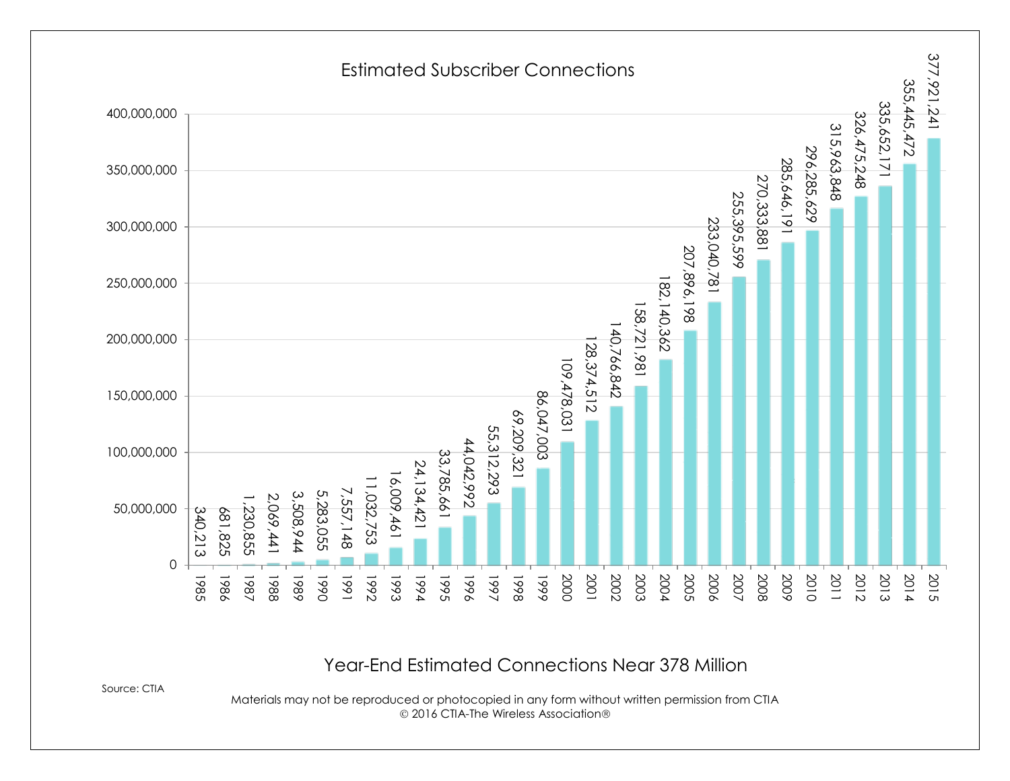

Year-End Estimated Connections Near 378 Million

Source: CTIA

Materials may not be reproduced or photocopied in any form without written permission from CTIA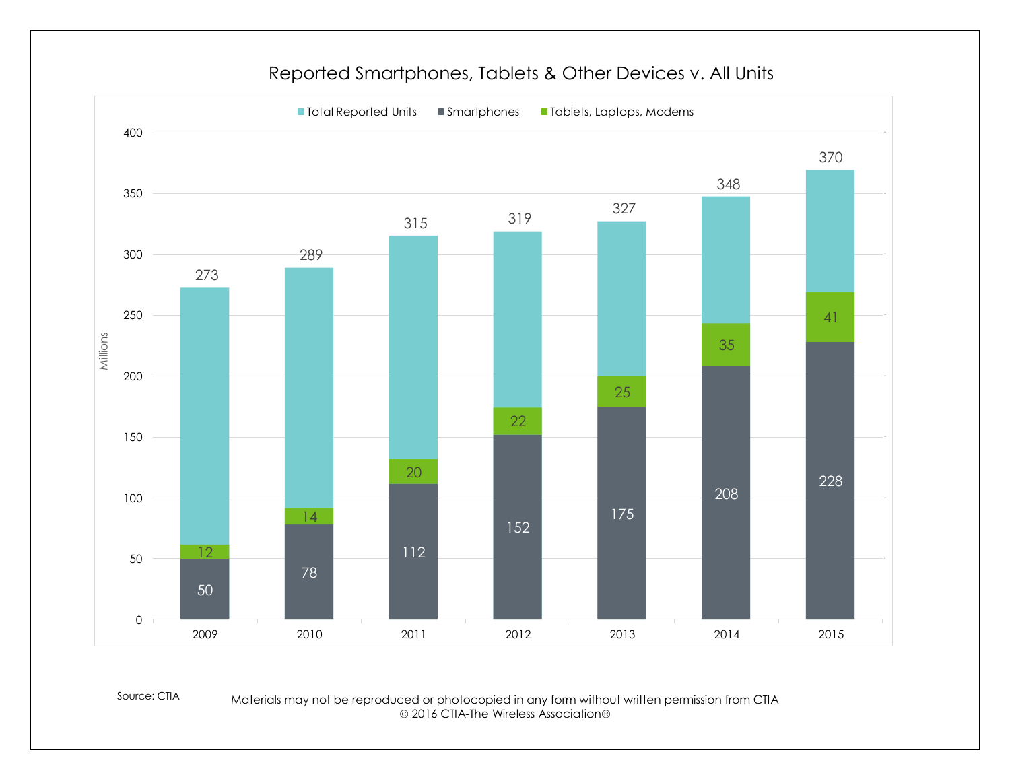

#### Reported Smartphones, Tablets & Other Devices v. All Units

Source: CTIA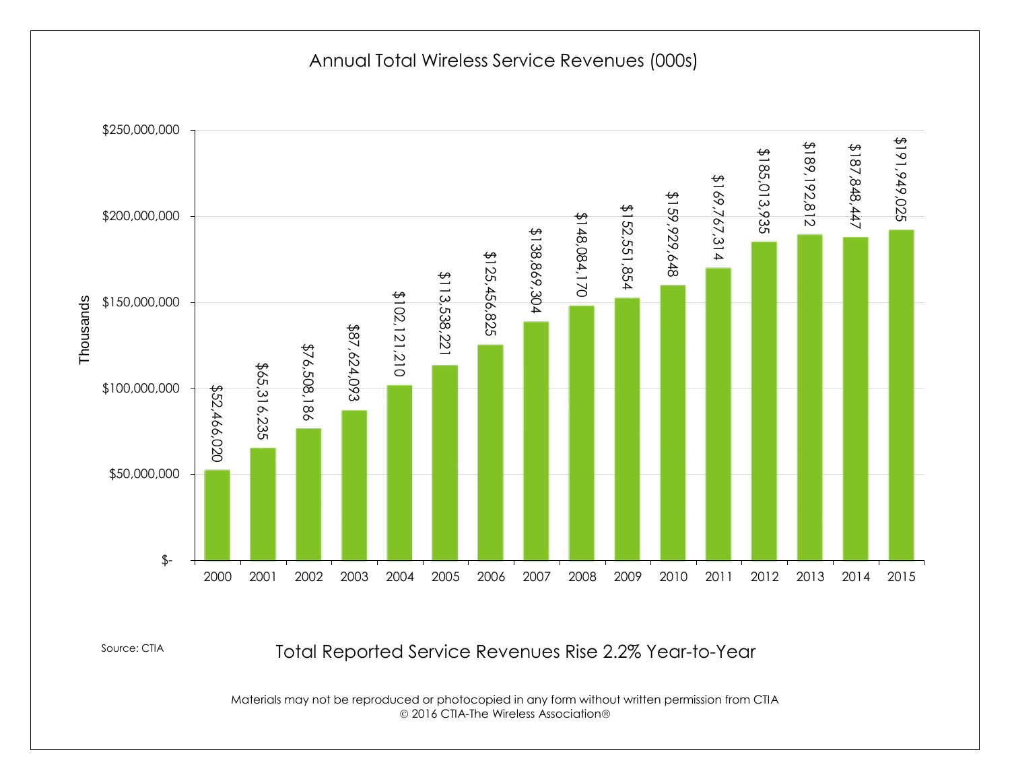Annual Total Wireless Service Revenues (000s)



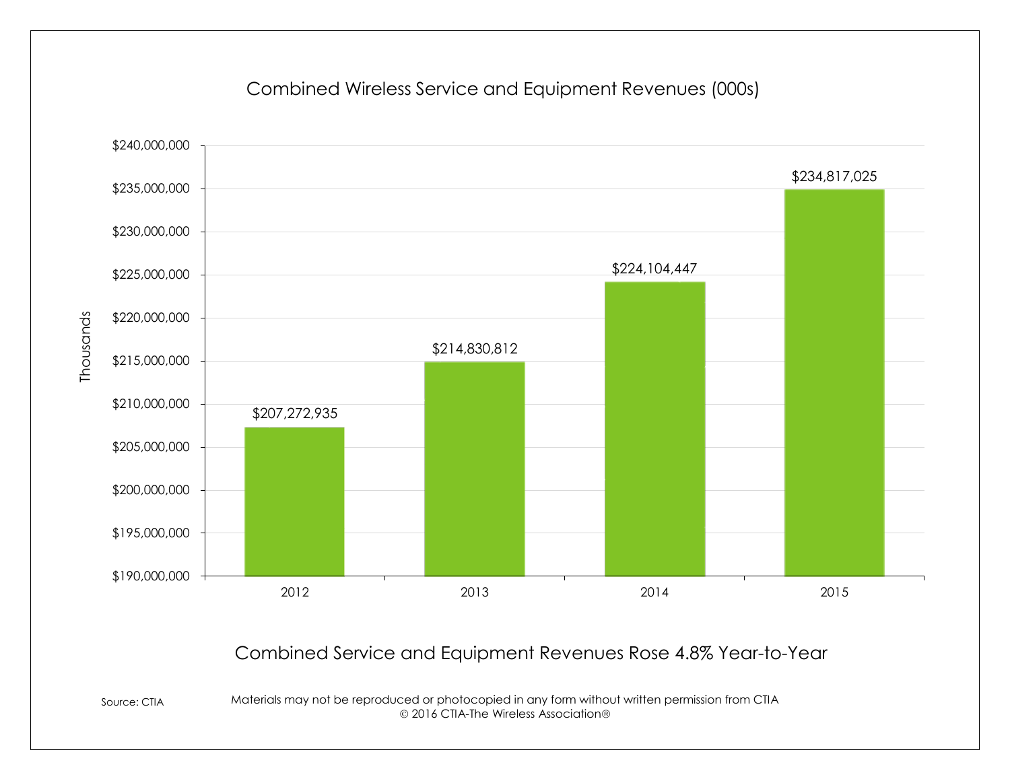

#### Combined Wireless Service and Equipment Revenues (000s)

## Combined Service and Equipment Revenues Rose 4.8% Year-to-Year

Source: CTIA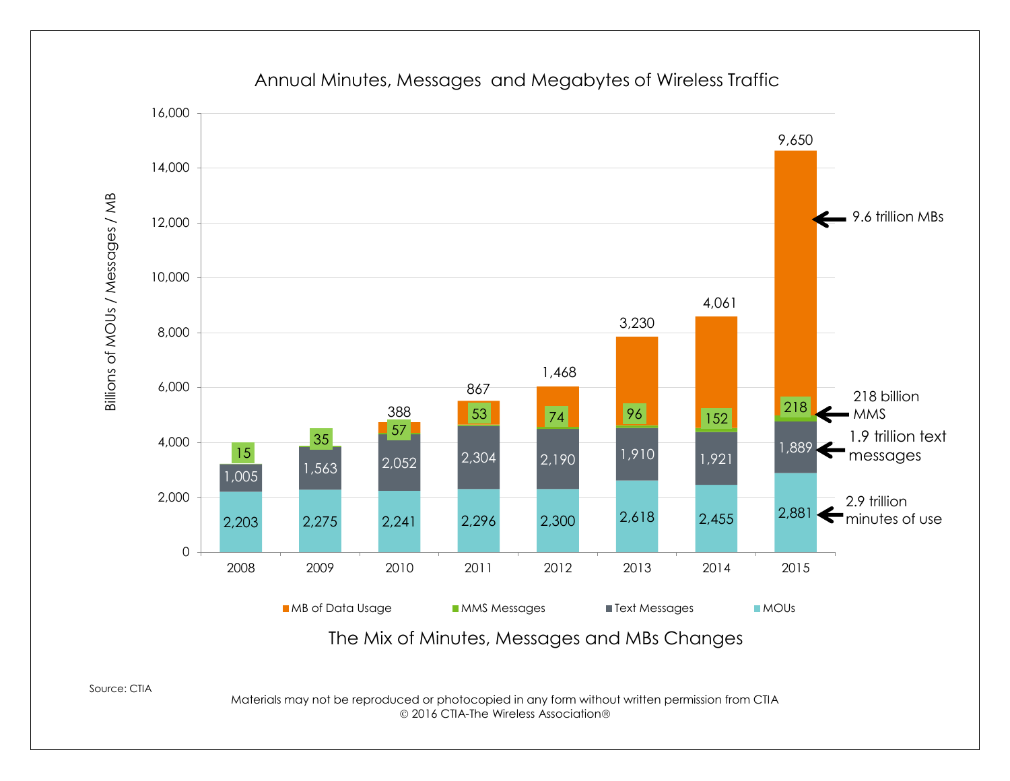

Annual Minutes, Messages and Megabytes of Wireless Traffic

Source: CTIA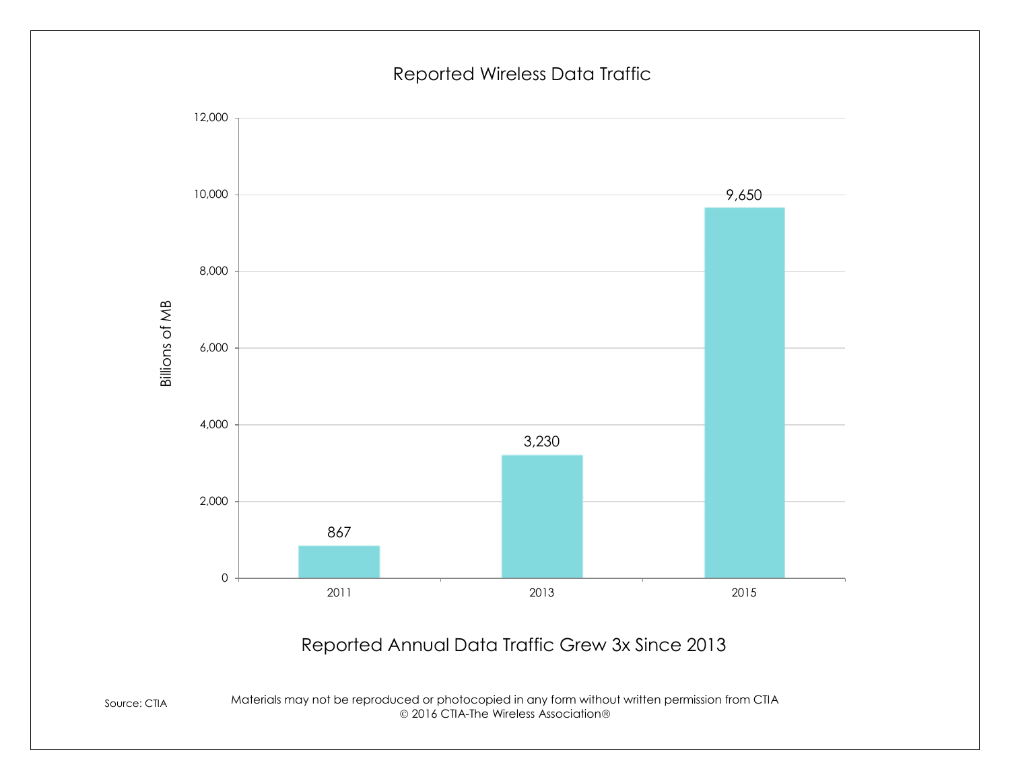#### Reported Wireless Data Traffic



## Reported Annual Data Traffic Grew 3x Since 2013

Source: CTIA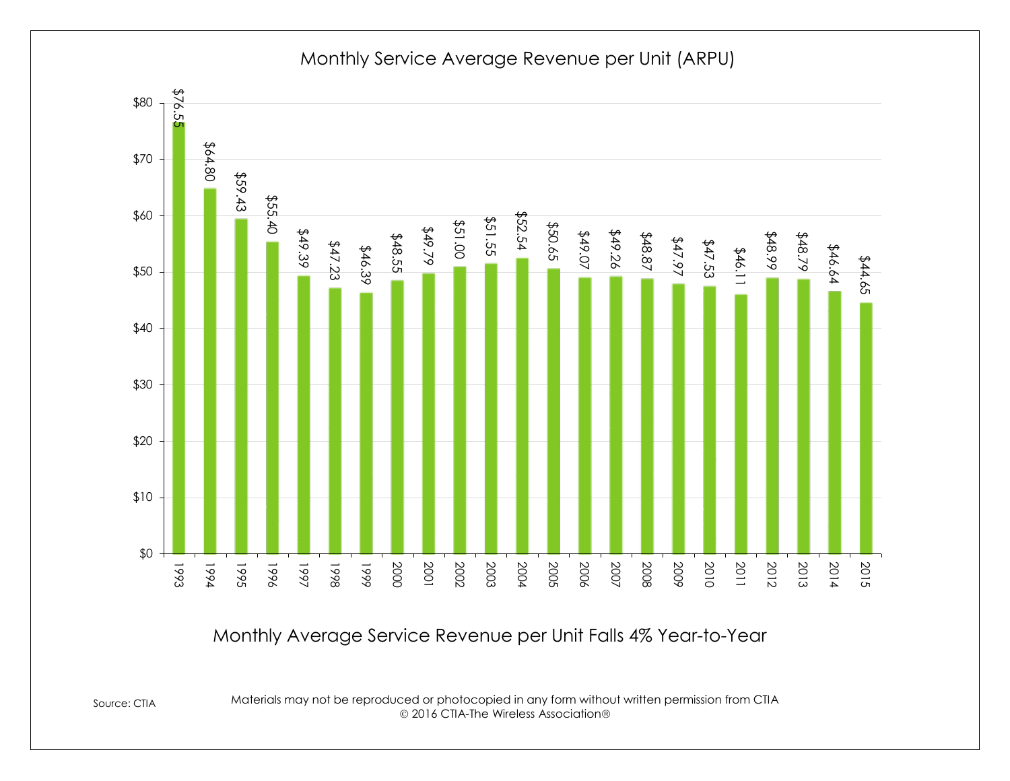

Monthly Service Average Revenue per Unit (ARPU)

Monthly Average Service Revenue per Unit Falls 4% Year-to-Year

Source: CTIA

Materials may not be reproduced or photocopied in any form without written permission from CTIA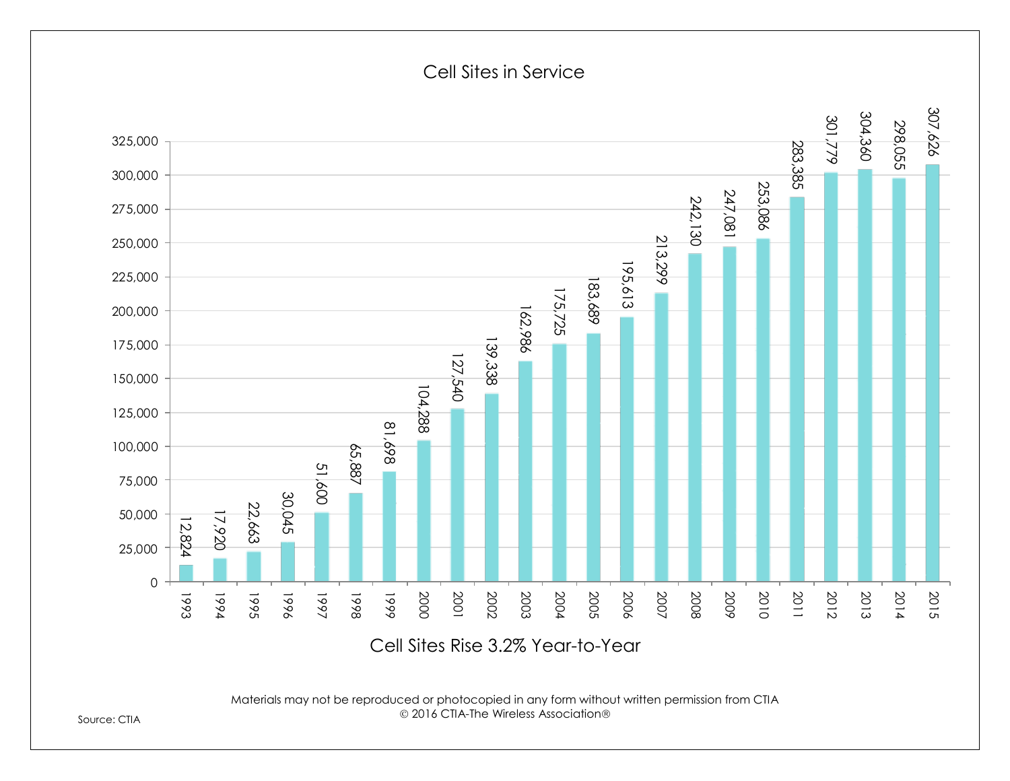

Materials may not be reproduced or photocopied in any form without written permission from CTIA

Source: CTIA

#### Cell Sites in Service